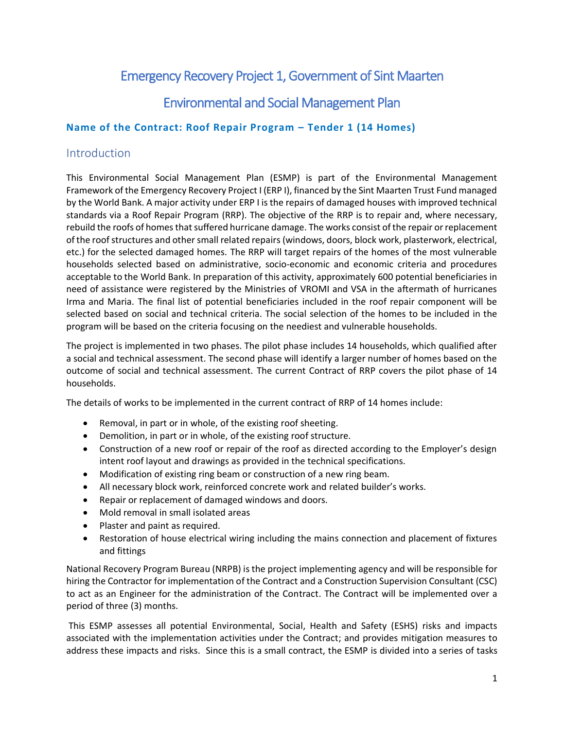# Emergency Recovery Project 1, Government of Sint Maarten

# Environmental and Social Management Plan

### **Name of the Contract: Roof Repair Program – Tender 1 (14 Homes)**

## Introduction

This Environmental Social Management Plan (ESMP) is part of the Environmental Management Framework of the Emergency Recovery Project I (ERP I), financed by the Sint Maarten Trust Fund managed by the World Bank. A major activity under ERP I is the repairs of damaged houses with improved technical standards via a Roof Repair Program (RRP). The objective of the RRP is to repair and, where necessary, rebuild the roofs of homes that suffered hurricane damage. The works consist of the repair or replacement of the roof structures and other small related repairs (windows, doors, block work, plasterwork, electrical, etc.) for the selected damaged homes. The RRP will target repairs of the homes of the most vulnerable households selected based on administrative, socio-economic and economic criteria and procedures acceptable to the World Bank. In preparation of this activity, approximately 600 potential beneficiaries in need of assistance were registered by the Ministries of VROMI and VSA in the aftermath of hurricanes Irma and Maria. The final list of potential beneficiaries included in the roof repair component will be selected based on social and technical criteria. The social selection of the homes to be included in the program will be based on the criteria focusing on the neediest and vulnerable households.

The project is implemented in two phases. The pilot phase includes 14 households, which qualified after a social and technical assessment. The second phase will identify a larger number of homes based on the outcome of social and technical assessment. The current Contract of RRP covers the pilot phase of 14 households.

The details of works to be implemented in the current contract of RRP of 14 homes include:

- Removal, in part or in whole, of the existing roof sheeting.
- Demolition, in part or in whole, of the existing roof structure.
- Construction of a new roof or repair of the roof as directed according to the Employer's design intent roof layout and drawings as provided in the technical specifications.
- Modification of existing ring beam or construction of a new ring beam.
- All necessary block work, reinforced concrete work and related builder's works.
- Repair or replacement of damaged windows and doors.
- Mold removal in small isolated areas
- Plaster and paint as required.
- Restoration of house electrical wiring including the mains connection and placement of fixtures and fittings

National Recovery Program Bureau (NRPB) is the project implementing agency and will be responsible for hiring the Contractor for implementation of the Contract and a Construction Supervision Consultant (CSC) to act as an Engineer for the administration of the Contract. The Contract will be implemented over a period of three (3) months.

This ESMP assesses all potential Environmental, Social, Health and Safety (ESHS) risks and impacts associated with the implementation activities under the Contract; and provides mitigation measures to address these impacts and risks. Since this is a small contract, the ESMP is divided into a series of tasks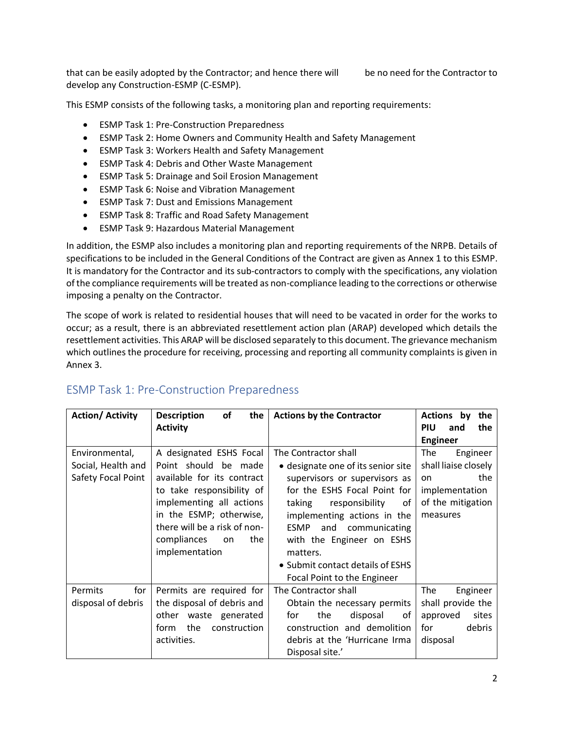that can be easily adopted by the Contractor; and hence there will be no need for the Contractor to develop any Construction-ESMP (C-ESMP).

This ESMP consists of the following tasks, a monitoring plan and reporting requirements:

- ESMP Task 1: Pre-Construction Preparedness
- ESMP Task 2: Home Owners and Community Health and Safety Management
- ESMP Task 3: Workers Health and Safety Management
- ESMP Task 4: Debris and Other Waste Management
- ESMP Task 5: Drainage and Soil Erosion Management
- ESMP Task 6: Noise and Vibration Management
- ESMP Task 7: Dust and Emissions Management
- ESMP Task 8: Traffic and Road Safety Management
- ESMP Task 9: Hazardous Material Management

In addition, the ESMP also includes a monitoring plan and reporting requirements of the NRPB. Details of specifications to be included in the General Conditions of the Contract are given as Annex 1 to this ESMP. It is mandatory for the Contractor and its sub-contractors to comply with the specifications, any violation of the compliance requirements will be treated as non-compliance leading to the corrections or otherwise imposing a penalty on the Contractor.

The scope of work is related to residential houses that will need to be vacated in order for the works to occur; as a result, there is an abbreviated resettlement action plan (ARAP) developed which details the resettlement activities. This ARAP will be disclosed separately to this document. The grievance mechanism which outlines the procedure for receiving, processing and reporting all community complaints is given in Annex 3.

| <b>Action/ Activity</b>                                    | <b>Description</b><br><b>of</b><br>the<br><b>Activity</b>                                                                                                                                                                                       | <b>Actions by the Contractor</b>                                                                                                                                                                                                                                                                                                         | Actions by<br>the<br><b>PIU</b><br>and<br>the                                                           |
|------------------------------------------------------------|-------------------------------------------------------------------------------------------------------------------------------------------------------------------------------------------------------------------------------------------------|------------------------------------------------------------------------------------------------------------------------------------------------------------------------------------------------------------------------------------------------------------------------------------------------------------------------------------------|---------------------------------------------------------------------------------------------------------|
|                                                            |                                                                                                                                                                                                                                                 |                                                                                                                                                                                                                                                                                                                                          | <b>Engineer</b>                                                                                         |
| Environmental,<br>Social, Health and<br>Safety Focal Point | A designated ESHS Focal<br>Point should be made<br>available for its contract<br>to take responsibility of<br>implementing all actions<br>in the ESMP; otherwise,<br>there will be a risk of non-<br>compliances<br>the<br>on<br>implementation | The Contractor shall<br>• designate one of its senior site<br>supervisors or supervisors as<br>for the ESHS Focal Point for<br>taking<br>responsibility<br>οf<br>implementing actions in the<br>ESMP<br>and<br>communicating<br>with the Engineer on ESHS<br>matters.<br>• Submit contact details of ESHS<br>Focal Point to the Engineer | The<br>Engineer<br>shall liaise closely<br>the<br>on<br>implementation<br>of the mitigation<br>measures |
| Permits<br>for<br>disposal of debris                       | Permits are required for<br>the disposal of debris and<br>other waste generated<br>the<br>construction<br>form<br>activities.                                                                                                                   | The Contractor shall<br>Obtain the necessary permits<br>the<br>disposal<br>for<br>of<br>construction and demolition<br>debris at the 'Hurricane Irma<br>Disposal site.'                                                                                                                                                                  | The<br>Engineer<br>shall provide the<br>sites<br>approved<br>debris<br>for<br>disposal                  |

## ESMP Task 1: Pre-Construction Preparedness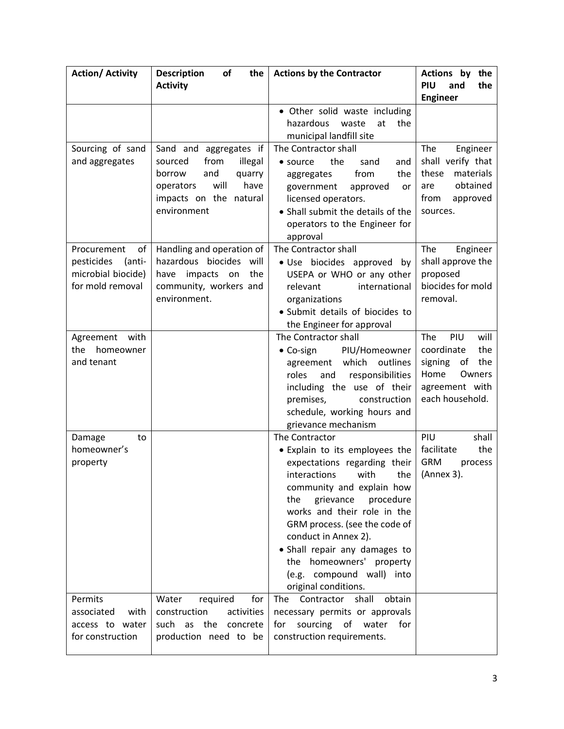| <b>Action/ Activity</b>                                                             | <b>Description</b><br>of<br>the                                                                                                                       | <b>Actions by the Contractor</b>                                                                                                                                                                                                                                                                                                                                                       | Actions by the                                                                                                      |
|-------------------------------------------------------------------------------------|-------------------------------------------------------------------------------------------------------------------------------------------------------|----------------------------------------------------------------------------------------------------------------------------------------------------------------------------------------------------------------------------------------------------------------------------------------------------------------------------------------------------------------------------------------|---------------------------------------------------------------------------------------------------------------------|
|                                                                                     | <b>Activity</b>                                                                                                                                       |                                                                                                                                                                                                                                                                                                                                                                                        | PIU<br>and<br>the<br><b>Engineer</b>                                                                                |
|                                                                                     |                                                                                                                                                       | • Other solid waste including<br>hazardous<br>at<br>the<br>waste<br>municipal landfill site                                                                                                                                                                                                                                                                                            |                                                                                                                     |
| Sourcing of sand<br>and aggregates                                                  | Sand and aggregates if<br>from<br>illegal<br>sourced<br>and<br>borrow<br>quarry<br>will<br>have<br>operators<br>impacts on the natural<br>environment | The Contractor shall<br>the<br>sand<br>$\bullet$ source<br>and<br>from<br>the<br>aggregates<br>government<br>approved<br>or<br>licensed operators.<br>• Shall submit the details of the<br>operators to the Engineer for<br>approval                                                                                                                                                   | The<br>Engineer<br>shall verify that<br>these<br>materials<br>obtained<br>are<br>from<br>approved<br>sources.       |
| Procurement<br>of<br>pesticides<br>(anti-<br>microbial biocide)<br>for mold removal | Handling and operation of<br>hazardous biocides will<br>impacts on<br>the<br>have<br>community, workers and<br>environment.                           | The Contractor shall<br>· Use biocides approved by<br>USEPA or WHO or any other<br>international<br>relevant<br>organizations<br>· Submit details of biocides to<br>the Engineer for approval                                                                                                                                                                                          | The<br>Engineer<br>shall approve the<br>proposed<br>biocides for mold<br>removal.                                   |
| Agreement<br>with<br>homeowner<br>the<br>and tenant                                 |                                                                                                                                                       | The Contractor shall<br>• Co-sign<br>PIU/Homeowner<br>which<br>outlines<br>agreement<br>roles<br>and<br>responsibilities<br>including the use of their<br>premises,<br>construction<br>schedule, working hours and<br>grievance mechanism                                                                                                                                              | The<br>PIU<br>will<br>coordinate<br>the<br>the<br>signing of<br>Home<br>Owners<br>agreement with<br>each household. |
| Damage<br>to<br>homeowner's<br>property                                             |                                                                                                                                                       | The Contractor<br>• Explain to its employees the<br>expectations regarding their<br>interactions<br>with<br>the I<br>community and explain how<br>the<br>grievance procedure<br>works and their role in the<br>GRM process. (see the code of<br>conduct in Annex 2).<br>• Shall repair any damages to<br>the homeowners' property<br>(e.g. compound wall) into<br>original conditions. | PIU<br>shall<br>the<br>facilitate<br><b>GRM</b><br>process<br>(Annex 3).                                            |
| Permits<br>associated<br>with<br>access to water<br>for construction                | Water<br>required<br>for<br>construction<br>activities<br>such<br>as the<br>concrete<br>production need to be                                         | The<br>Contractor<br>shall<br>obtain<br>necessary permits or approvals<br>sourcing<br>of<br>water<br>for<br>for<br>construction requirements.                                                                                                                                                                                                                                          |                                                                                                                     |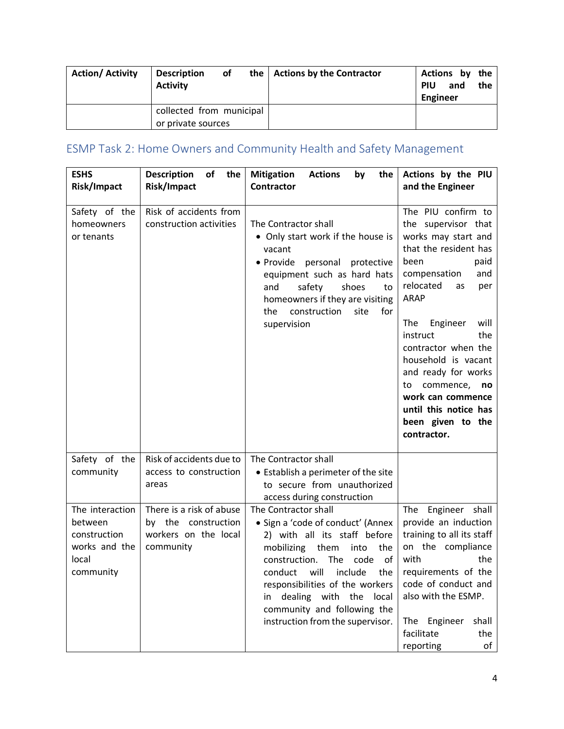| <b>Action/ Activity</b> | <b>Description</b><br><b>Activity</b>          | of | the   Actions by the Contractor | Actions by the<br><b>PIU</b><br>Engineer | and | the |
|-------------------------|------------------------------------------------|----|---------------------------------|------------------------------------------|-----|-----|
|                         | collected from municipal<br>or private sources |    |                                 |                                          |     |     |

# ESMP Task 2: Home Owners and Community Health and Safety Management

| <b>ESHS</b><br>Risk/Impact                                                        | <b>Description</b><br>the<br>of<br>Risk/Impact                                       | <b>Mitigation</b><br><b>Actions</b><br>by<br>the<br><b>Contractor</b>                                                                                                                                                                                                                                                                              | Actions by the PIU<br>and the Engineer                                                                                                                                                                                                                                                                                                                                                               |
|-----------------------------------------------------------------------------------|--------------------------------------------------------------------------------------|----------------------------------------------------------------------------------------------------------------------------------------------------------------------------------------------------------------------------------------------------------------------------------------------------------------------------------------------------|------------------------------------------------------------------------------------------------------------------------------------------------------------------------------------------------------------------------------------------------------------------------------------------------------------------------------------------------------------------------------------------------------|
| Safety of the<br>homeowners<br>or tenants                                         | Risk of accidents from<br>construction activities                                    | The Contractor shall<br>• Only start work if the house is<br>vacant<br>• Provide<br>personal protective<br>equipment such as hard hats<br>safety<br>shoes<br>and<br>to<br>homeowners if they are visiting<br>construction<br>for<br>the<br>site<br>supervision                                                                                     | The PIU confirm to<br>the supervisor that<br>works may start and<br>that the resident has<br>been<br>paid<br>compensation<br>and<br>relocated<br>as<br>per<br><b>ARAP</b><br>The<br>Engineer<br>will<br>instruct<br>the<br>contractor when the<br>household is vacant<br>and ready for works<br>commence, no<br>to<br>work can commence<br>until this notice has<br>been given to the<br>contractor. |
| Safety of the<br>community                                                        | Risk of accidents due to<br>access to construction<br>areas                          | The Contractor shall<br>• Establish a perimeter of the site<br>to secure from unauthorized<br>access during construction                                                                                                                                                                                                                           |                                                                                                                                                                                                                                                                                                                                                                                                      |
| The interaction<br>between<br>construction<br>works and the<br>local<br>community | There is a risk of abuse<br>by the construction<br>workers on the local<br>community | The Contractor shall<br>• Sign a 'code of conduct' (Annex<br>2) with all its staff before<br>mobilizing<br>them<br>the<br>into<br>construction.<br>The<br>code<br>of<br>will<br>include<br>conduct<br>the<br>responsibilities of the workers<br>in dealing<br>with the<br>local<br>community and following the<br>instruction from the supervisor. | The<br>Engineer shall<br>provide an induction<br>training to all its staff<br>on the compliance<br>with<br>the<br>requirements of the<br>code of conduct and<br>also with the ESMP.<br>Engineer<br>shall<br>The<br>facilitate<br>the<br>reporting<br>of                                                                                                                                              |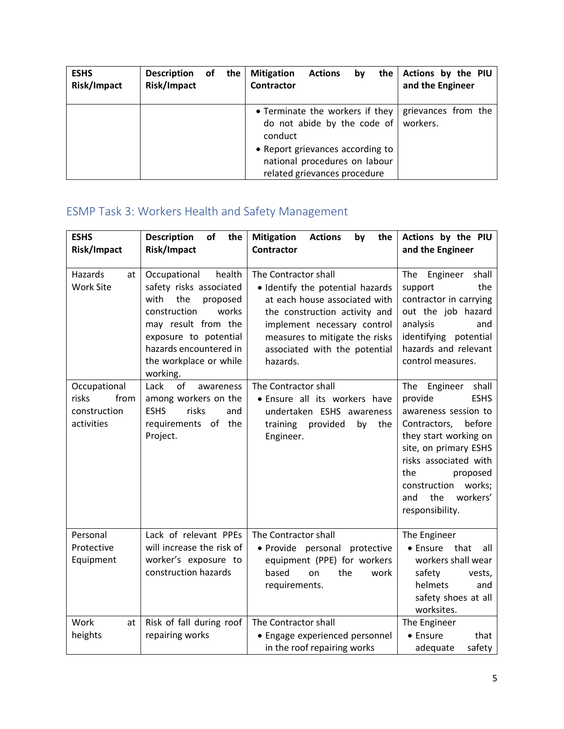| <b>ESHS</b><br>Risk/Impact | Description of<br>Risk/Impact | the | <b>Mitigation</b><br><b>Actions</b><br>bv<br>Contractor                                           | the Actions by the PIU<br>and the Engineer |
|----------------------------|-------------------------------|-----|---------------------------------------------------------------------------------------------------|--------------------------------------------|
|                            |                               |     | • Terminate the workers if they<br>do not abide by the code of<br>conduct                         | grievances from the<br>workers.            |
|                            |                               |     | • Report grievances according to<br>national procedures on labour<br>related grievances procedure |                                            |

# ESMP Task 3: Workers Health and Safety Management

| <b>ESHS</b><br>Risk/Impact                                  | <b>Description</b><br>of<br>the<br>Risk/Impact                                                                                                                                                                        | <b>Mitigation</b><br><b>Actions</b><br>by<br>the<br><b>Contractor</b>                                                                                                                                                                    | Actions by the PIU<br>and the Engineer                                                                                                                                                                                                                                    |
|-------------------------------------------------------------|-----------------------------------------------------------------------------------------------------------------------------------------------------------------------------------------------------------------------|------------------------------------------------------------------------------------------------------------------------------------------------------------------------------------------------------------------------------------------|---------------------------------------------------------------------------------------------------------------------------------------------------------------------------------------------------------------------------------------------------------------------------|
| Hazards<br>at<br><b>Work Site</b>                           | Occupational<br>health<br>safety risks associated<br>with<br>the<br>proposed<br>construction<br>works<br>may result from the<br>exposure to potential<br>hazards encountered in<br>the workplace or while<br>working. | The Contractor shall<br>• Identify the potential hazards<br>at each house associated with<br>the construction activity and<br>implement necessary control<br>measures to mitigate the risks<br>associated with the potential<br>hazards. | The<br>Engineer<br>shall<br>the<br>support<br>contractor in carrying<br>out the job hazard<br>analysis<br>and<br>identifying<br>potential<br>hazards and relevant<br>control measures.                                                                                    |
| Occupational<br>risks<br>from<br>construction<br>activities | Lack<br>of<br>awareness<br>among workers on the<br><b>ESHS</b><br>risks<br>and<br>requirements of the<br>Project.                                                                                                     | The Contractor shall<br>· Ensure all its workers have<br>undertaken ESHS awareness<br>provided<br>training<br>by<br>the<br>Engineer.                                                                                                     | The<br>Engineer<br>shall<br><b>ESHS</b><br>provide<br>awareness session to<br>before<br>Contractors,<br>they start working on<br>site, on primary ESHS<br>risks associated with<br>the<br>proposed<br>works;<br>construction<br>the<br>workers'<br>and<br>responsibility. |
| Personal<br>Protective<br>Equipment                         | Lack of relevant PPEs<br>will increase the risk of<br>worker's exposure to<br>construction hazards                                                                                                                    | The Contractor shall<br>· Provide personal protective<br>equipment (PPE) for workers<br>based<br>on<br>the<br>work<br>requirements.                                                                                                      | The Engineer<br>• Ensure<br>that<br>all<br>workers shall wear<br>safety<br>vests,<br>helmets<br>and<br>safety shoes at all<br>worksites.                                                                                                                                  |
| Work<br>at<br>heights                                       | Risk of fall during roof<br>repairing works                                                                                                                                                                           | The Contractor shall<br>• Engage experienced personnel<br>in the roof repairing works                                                                                                                                                    | The Engineer<br>• Ensure<br>that<br>safety<br>adequate                                                                                                                                                                                                                    |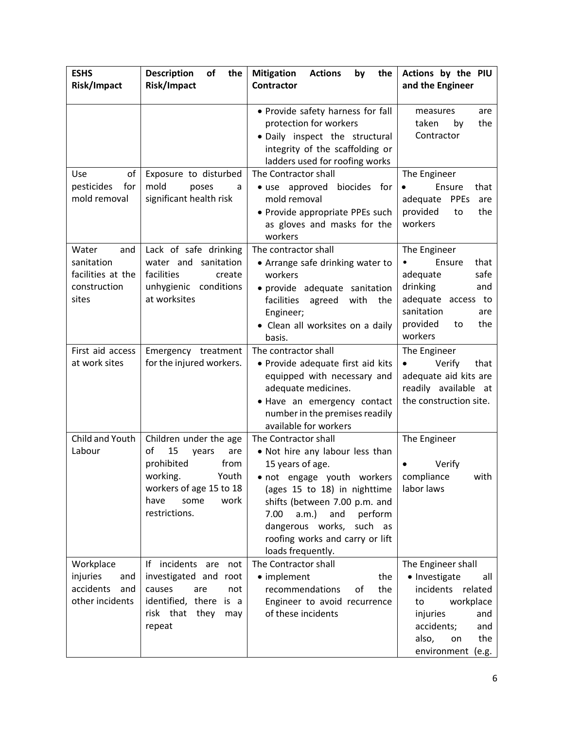| <b>ESHS</b>                                                              | <b>Description</b><br>of<br>the                                                                                                                                   | <b>Mitigation</b><br><b>Actions</b><br>by<br>the                                                                                                                                                                                                                                                                | Actions by the PIU                                                                                                                                                    |
|--------------------------------------------------------------------------|-------------------------------------------------------------------------------------------------------------------------------------------------------------------|-----------------------------------------------------------------------------------------------------------------------------------------------------------------------------------------------------------------------------------------------------------------------------------------------------------------|-----------------------------------------------------------------------------------------------------------------------------------------------------------------------|
| Risk/Impact                                                              | Risk/Impact                                                                                                                                                       | <b>Contractor</b>                                                                                                                                                                                                                                                                                               | and the Engineer                                                                                                                                                      |
|                                                                          |                                                                                                                                                                   | • Provide safety harness for fall<br>protection for workers<br>· Daily inspect the structural                                                                                                                                                                                                                   | measures<br>are<br>taken<br>the<br>by<br>Contractor                                                                                                                   |
|                                                                          |                                                                                                                                                                   | integrity of the scaffolding or<br>ladders used for roofing works                                                                                                                                                                                                                                               |                                                                                                                                                                       |
| of<br><b>Use</b><br>pesticides<br>for<br>mold removal                    | Exposure to disturbed<br>mold<br>poses<br>a<br>significant health risk                                                                                            | The Contractor shall<br>• use approved<br>biocides for<br>mold removal<br>• Provide appropriate PPEs such<br>as gloves and masks for the<br>workers                                                                                                                                                             | The Engineer<br>Ensure<br>that<br>adequate<br><b>PPEs</b><br>are<br>provided<br>the<br>to<br>workers                                                                  |
| Water<br>and<br>sanitation<br>facilities at the<br>construction<br>sites | Lack of safe drinking<br>water and sanitation<br>facilities<br>create<br>unhygienic conditions<br>at worksites                                                    | The contractor shall<br>• Arrange safe drinking water to<br>workers<br>· provide adequate sanitation<br>facilities agreed<br>with<br>the<br>Engineer;<br>• Clean all worksites on a daily<br>basis.                                                                                                             | The Engineer<br>Ensure<br>that<br>adequate<br>safe<br>drinking<br>and<br>adequate access to<br>sanitation<br>are<br>provided<br>the<br>to<br>workers                  |
| First aid access<br>at work sites                                        | Emergency treatment<br>for the injured workers.                                                                                                                   | The contractor shall<br>• Provide adequate first aid kits<br>equipped with necessary and<br>adequate medicines.<br>· Have an emergency contact<br>number in the premises readily<br>available for workers                                                                                                       | The Engineer<br>Verify<br>that<br>$\bullet$<br>adequate aid kits are<br>readily available at<br>the construction site.                                                |
| Child and Youth<br>Labour                                                | Children under the age<br>15<br>of<br>are<br>years<br>prohibited<br>from<br>working.<br>Youth<br>workers of age 15 to 18<br>have<br>some<br>work<br>restrictions. | The Contractor shall<br>• Not hire any labour less than<br>15 years of age.<br>• not engage youth workers compliance<br>(ages 15 to 18) in nighttime<br>shifts (between 7.00 p.m. and<br>7.00<br>$a.m.$ )<br>and<br>perform<br>dangerous works, such as<br>roofing works and carry or lift<br>loads frequently. | The Engineer<br>Verify<br>with<br>labor laws                                                                                                                          |
| Workplace<br>injuries<br>and<br>accidents<br>and<br>other incidents      | If incidents are<br>not<br>investigated and root<br>causes<br>are<br>not<br>identified, there is a<br>risk that they<br>may<br>repeat                             | The Contractor shall<br>• implement<br>the<br>recommendations<br>of<br>the<br>Engineer to avoid recurrence<br>of these incidents                                                                                                                                                                                | The Engineer shall<br>• Investigate<br>all<br>incidents related<br>workplace<br>to<br>injuries<br>and<br>accidents;<br>and<br>the<br>also,<br>on<br>environment (e.g. |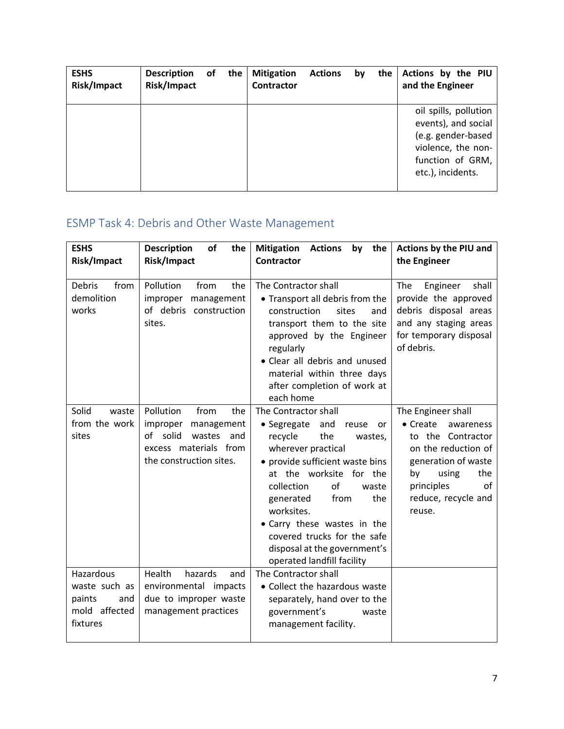| <b>ESHS</b><br>Risk/Impact | <b>Description</b><br>Risk/Impact | of | the | <b>Mitigation</b><br><b>Contractor</b> | <b>Actions</b> | by | the | Actions by the PIU<br>and the Engineer                                                                                            |
|----------------------------|-----------------------------------|----|-----|----------------------------------------|----------------|----|-----|-----------------------------------------------------------------------------------------------------------------------------------|
|                            |                                   |    |     |                                        |                |    |     | oil spills, pollution<br>events), and social<br>(e.g. gender-based<br>violence, the non-<br>function of GRM,<br>etc.), incidents. |

# ESMP Task 4: Debris and Other Waste Management

| <b>ESHS</b><br>Risk/Impact                                               | <b>Description</b><br>of<br>the<br>Risk/Impact                                                                                      | <b>Mitigation</b><br>by the<br><b>Actions</b><br><b>Contractor</b>                                                                                                                                                                                                                                                                                                            | Actions by the PIU and<br>the Engineer                                                                                                                                                            |
|--------------------------------------------------------------------------|-------------------------------------------------------------------------------------------------------------------------------------|-------------------------------------------------------------------------------------------------------------------------------------------------------------------------------------------------------------------------------------------------------------------------------------------------------------------------------------------------------------------------------|---------------------------------------------------------------------------------------------------------------------------------------------------------------------------------------------------|
| <b>Debris</b><br>from<br>demolition<br>works                             | Pollution<br>from<br>the<br>improper<br>management<br>of debris construction<br>sites.                                              | The Contractor shall<br>• Transport all debris from the<br>construction<br>sites<br>and<br>transport them to the site<br>approved by the Engineer<br>regularly<br>• Clear all debris and unused<br>material within three days<br>after completion of work at<br>each home                                                                                                     | Engineer<br>The<br>shall<br>provide the approved<br>debris disposal areas<br>and any staging areas<br>for temporary disposal<br>of debris.                                                        |
| Solid<br>waste<br>from the work<br>sites                                 | Pollution<br>from<br>the<br>improper<br>management<br>of solid<br>wastes<br>and<br>excess materials from<br>the construction sites. | The Contractor shall<br>• Segregate<br>and<br>reuse<br>or<br>recycle<br>the<br>wastes,<br>wherever practical<br>• provide sufficient waste bins<br>at the worksite for the<br>of<br>collection<br>waste<br>the<br>from<br>generated<br>worksites.<br>• Carry these wastes in the<br>covered trucks for the safe<br>disposal at the government's<br>operated landfill facility | The Engineer shall<br>$\bullet$ Create<br>awareness<br>to the Contractor<br>on the reduction of<br>generation of waste<br>using<br>the<br>by<br>principles<br>of<br>reduce, recycle and<br>reuse. |
| Hazardous<br>waste such as<br>paints<br>and<br>mold affected<br>fixtures | Health<br>hazards<br>and<br>environmental impacts<br>due to improper waste<br>management practices                                  | The Contractor shall<br>• Collect the hazardous waste<br>separately, hand over to the<br>government's<br>waste<br>management facility.                                                                                                                                                                                                                                        |                                                                                                                                                                                                   |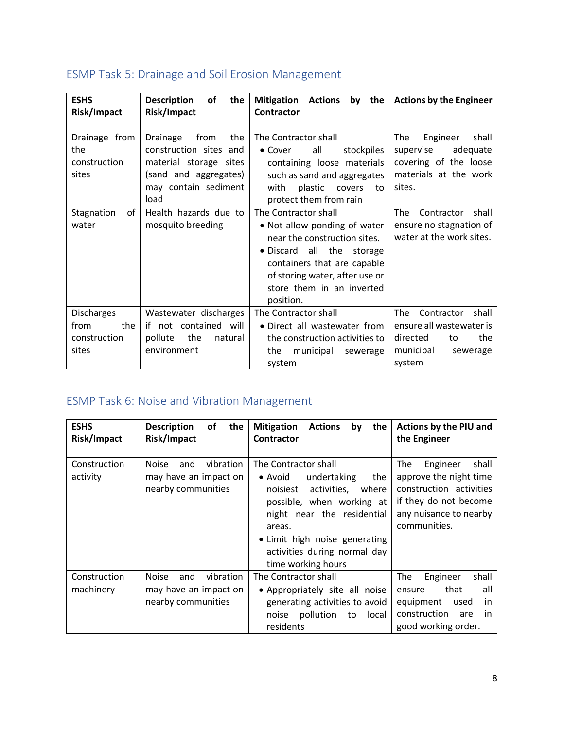| <b>ESHS</b><br>Risk/Impact                                | <b>Description</b><br>of<br>the<br>Risk/Impact                                                                                       | <b>Mitigation</b><br><b>Actions</b><br>the<br>by<br><b>Contractor</b>                                                                                                                                                           | <b>Actions by the Engineer</b>                                                                                     |
|-----------------------------------------------------------|--------------------------------------------------------------------------------------------------------------------------------------|---------------------------------------------------------------------------------------------------------------------------------------------------------------------------------------------------------------------------------|--------------------------------------------------------------------------------------------------------------------|
| Drainage from<br>the<br>construction<br>sites             | Drainage<br>from<br>the<br>construction sites and<br>material storage sites<br>(sand and aggregates)<br>may contain sediment<br>load | The Contractor shall<br>• Cover<br>all<br>stockpiles<br>containing loose materials<br>such as sand and aggregates<br>with<br>plastic<br>covers<br>to<br>protect them from rain                                                  | The<br>Engineer<br>shall<br>supervise<br>adequate<br>covering of the loose<br>materials at the work<br>sites.      |
| of<br>Stagnation<br>water                                 | Health hazards due to<br>mosquito breeding                                                                                           | The Contractor shall<br>• Not allow ponding of water<br>near the construction sites.<br>• Discard all the<br>storage<br>containers that are capable<br>of storing water, after use or<br>store them in an inverted<br>position. | The<br>shall<br>Contractor<br>ensure no stagnation of<br>water at the work sites.                                  |
| <b>Discharges</b><br>from<br>the<br>construction<br>sites | Wastewater discharges<br>if not contained will<br>the<br>pollute<br>natural<br>environment                                           | The Contractor shall<br>• Direct all wastewater from<br>the construction activities to<br>the<br>municipal<br>sewerage<br>system                                                                                                | The<br>Contractor<br>shall<br>ensure all wastewater is<br>the<br>directed<br>to<br>municipal<br>sewerage<br>system |

# ESMP Task 5: Drainage and Soil Erosion Management

# ESMP Task 6: Noise and Vibration Management

| <b>ESHS</b><br>Risk/Impact | <b>Description</b><br>οf<br>the<br>Risk/Impact                                  | <b>Mitigation</b><br><b>Actions</b><br>the<br>by<br><b>Contractor</b>                                                                                                                                                                                         | Actions by the PIU and<br>the Engineer                                                                                                           |
|----------------------------|---------------------------------------------------------------------------------|---------------------------------------------------------------------------------------------------------------------------------------------------------------------------------------------------------------------------------------------------------------|--------------------------------------------------------------------------------------------------------------------------------------------------|
| Construction<br>activity   | vibration<br><b>Noise</b><br>and<br>may have an impact on<br>nearby communities | The Contractor shall<br>undertaking<br>$\bullet$ Avoid<br>the<br>activities,<br>noisiest<br>where<br>possible, when working at<br>night near the residential<br>areas.<br>• Limit high noise generating<br>activities during normal day<br>time working hours | The<br>Engineer<br>shall<br>approve the night time<br>construction activities<br>if they do not become<br>any nuisance to nearby<br>communities. |
| Construction<br>machinery  | vibration<br><b>Noise</b><br>and<br>may have an impact on<br>nearby communities | The Contractor shall<br>• Appropriately site all noise<br>generating activities to avoid<br>noise pollution<br>to<br>local<br>residents                                                                                                                       | shall<br>The<br>Engineer<br>that<br>all<br>ensure<br>equipment<br>used<br>in.<br>construction<br>are<br>in.<br>good working order.               |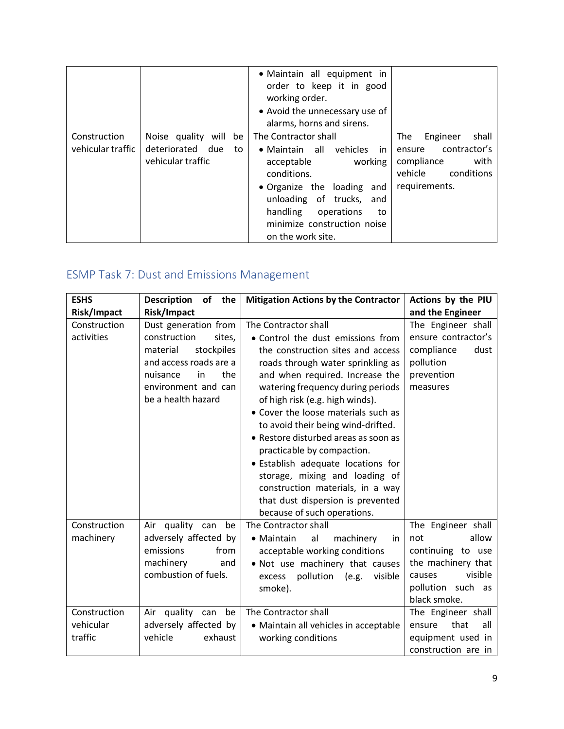|                                   |                                                                            | · Maintain all equipment in<br>order to keep it in good<br>working order.<br>• Avoid the unnecessary use of<br>alarms, horns and sirens.                                                                                                        |                                                                                                                    |
|-----------------------------------|----------------------------------------------------------------------------|-------------------------------------------------------------------------------------------------------------------------------------------------------------------------------------------------------------------------------------------------|--------------------------------------------------------------------------------------------------------------------|
| Construction<br>vehicular traffic | Noise quality<br>will<br>be<br>deteriorated due<br>to<br>vehicular traffic | The Contractor shall<br>• Maintain all vehicles<br>in.<br>acceptable<br>working<br>conditions.<br>• Organize the loading<br>and<br>unloading of trucks, and<br>handling<br>operations<br>to<br>minimize construction noise<br>on the work site. | shall<br>The<br>Engineer<br>contractor's<br>ensure<br>compliance<br>with<br>vehicle<br>conditions<br>requirements. |

# ESMP Task 7: Dust and Emissions Management

| <b>ESHS</b>                          | of the<br><b>Description</b>                                                                                                                                              | <b>Mitigation Actions by the Contractor</b>                                                                                                                                                                                                                                                                                                                                                                                                                                                                                                                                       | Actions by the PIU                                                                                                                      |
|--------------------------------------|---------------------------------------------------------------------------------------------------------------------------------------------------------------------------|-----------------------------------------------------------------------------------------------------------------------------------------------------------------------------------------------------------------------------------------------------------------------------------------------------------------------------------------------------------------------------------------------------------------------------------------------------------------------------------------------------------------------------------------------------------------------------------|-----------------------------------------------------------------------------------------------------------------------------------------|
| Risk/Impact                          | Risk/Impact                                                                                                                                                               |                                                                                                                                                                                                                                                                                                                                                                                                                                                                                                                                                                                   | and the Engineer                                                                                                                        |
| Construction<br>activities           | Dust generation from<br>construction<br>sites,<br>stockpiles<br>material<br>and access roads are a<br>the<br>nuisance<br>in.<br>environment and can<br>be a health hazard | The Contractor shall<br>• Control the dust emissions from<br>the construction sites and access<br>roads through water sprinkling as<br>and when required. Increase the<br>watering frequency during periods<br>of high risk (e.g. high winds).<br>• Cover the loose materials such as<br>to avoid their being wind-drifted.<br>• Restore disturbed areas as soon as<br>practicable by compaction.<br>· Establish adequate locations for<br>storage, mixing and loading of<br>construction materials, in a way<br>that dust dispersion is prevented<br>because of such operations. | The Engineer shall<br>ensure contractor's<br>compliance<br>dust<br>pollution<br>prevention<br>measures                                  |
| Construction<br>machinery            | Air quality can<br>be<br>adversely affected by<br>emissions<br>from<br>machinery<br>and<br>combustion of fuels.                                                           | The Contractor shall<br>• Maintain<br>al<br>machinery<br>in<br>acceptable working conditions<br>. Not use machinery that causes<br>pollution (e.g.<br>visible<br>excess<br>smoke).                                                                                                                                                                                                                                                                                                                                                                                                | The Engineer shall<br>allow<br>not<br>continuing to use<br>the machinery that<br>visible<br>causes<br>pollution such as<br>black smoke. |
| Construction<br>vehicular<br>traffic | Air quality can<br>be<br>adversely affected by<br>vehicle<br>exhaust                                                                                                      | The Contractor shall<br>• Maintain all vehicles in acceptable<br>working conditions                                                                                                                                                                                                                                                                                                                                                                                                                                                                                               | The Engineer shall<br>that<br>all<br>ensure<br>equipment used in<br>construction are in                                                 |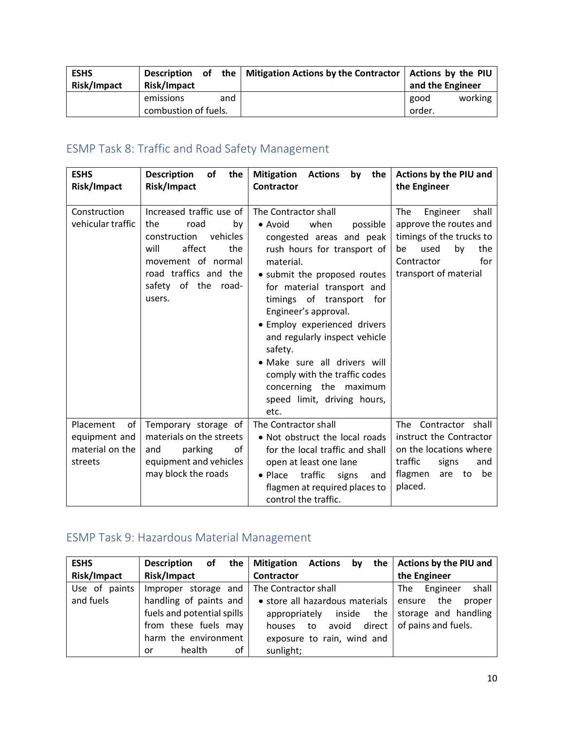| <b>ESHS</b><br>Risk/Impact | Risk/Impact                       |     | Description of the   Mitigation Actions by the Contractor   Actions by the PIU | and the Engineer |         |
|----------------------------|-----------------------------------|-----|--------------------------------------------------------------------------------|------------------|---------|
|                            | emissions<br>combustion of fuels. | and |                                                                                | good<br>order.   | working |

# ESMP Task 8: Traffic and Road Safety Management

| <b>ESHS</b><br><b>Risk/Impact</b>                                | <b>Description</b><br>of<br>the<br>Risk/Impact                                                                                                                                        | <b>Mitigation</b><br>by the<br><b>Actions</b><br>Contractor                                                                                                                                                                                                                                                                                                                                                                                                 | Actions by the PIU and<br>the Engineer                                                                                                                  |
|------------------------------------------------------------------|---------------------------------------------------------------------------------------------------------------------------------------------------------------------------------------|-------------------------------------------------------------------------------------------------------------------------------------------------------------------------------------------------------------------------------------------------------------------------------------------------------------------------------------------------------------------------------------------------------------------------------------------------------------|---------------------------------------------------------------------------------------------------------------------------------------------------------|
| Construction<br>vehicular traffic                                | Increased traffic use of<br>the<br>road<br>by<br>vehicles<br>construction<br>affect<br>will<br>the<br>movement of normal<br>road traffics and the<br>safety of the<br>road-<br>users. | The Contractor shall<br>• Avoid<br>when<br>possible<br>congested areas and peak<br>rush hours for transport of<br>material.<br>• submit the proposed routes<br>for material transport and<br>timings of transport for<br>Engineer's approval.<br>· Employ experienced drivers<br>and regularly inspect vehicle<br>safety.<br>· Make sure all drivers will<br>comply with the traffic codes<br>concerning the maximum<br>speed limit, driving hours,<br>etc. | Engineer<br>shall<br>The<br>approve the routes and<br>timings of the trucks to<br>used<br>the<br>by<br>be<br>for<br>Contractor<br>transport of material |
| Placement<br>of l<br>equipment and<br>material on the<br>streets | Temporary storage of<br>materials on the streets<br>parking<br>of<br>and<br>equipment and vehicles<br>may block the roads                                                             | The Contractor shall<br>• Not obstruct the local roads<br>for the local traffic and shall<br>open at least one lane<br>traffic<br>signs<br>$\bullet$ Place<br>and<br>flagmen at required places to<br>control the traffic.                                                                                                                                                                                                                                  | The Contractor shall<br>instruct the Contractor<br>on the locations where<br>traffic<br>signs<br>and<br>flagmen<br>are<br>to<br>be<br>placed.           |

# ESMP Task 9: Hazardous Material Management

| <b>ESHS</b>   | the I<br><b>Description</b><br>οf | <b>Mitigation Actions</b><br>the<br>by   | Actions by the PIU and   |
|---------------|-----------------------------------|------------------------------------------|--------------------------|
| Risk/Impact   | Risk/Impact                       | <b>Contractor</b>                        | the Engineer             |
| Use of paints | Improper storage and              | The Contractor shall                     | shall<br>Engineer<br>The |
| and fuels     | handling of paints and            | • store all hazardous materials   ensure | the<br>proper            |
|               | fuels and potential spills        | inside the<br>appropriately              | storage and handling     |
|               | from these fuels may              | avoid<br>direct  <br>to<br>houses        | of pains and fuels.      |
|               | harm the environment              | exposure to rain, wind and               |                          |
|               | health<br>οf<br>or                | sunlight;                                |                          |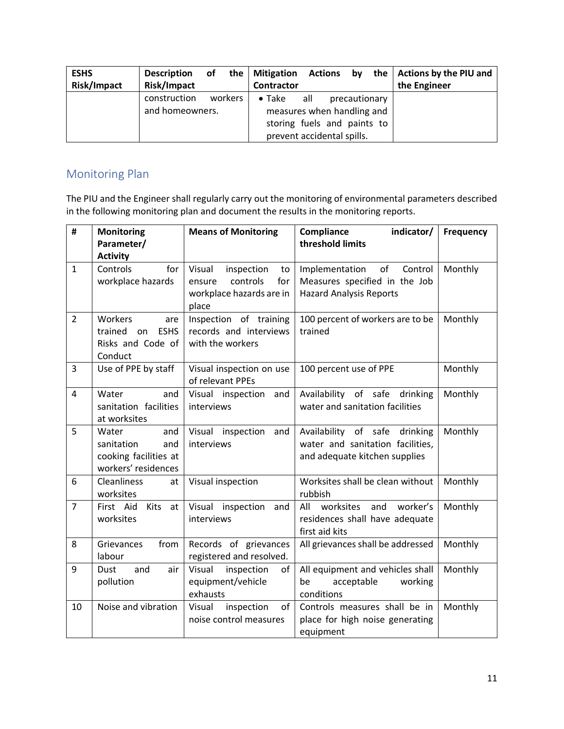| <b>ESHS</b><br>Risk/Impact | of the<br><b>Description</b><br>Risk/Impact |         | <b>Mitigation</b><br><b>Contractor</b> | <b>Actions</b>                                                                                 | by            | the   Actions by the PIU and<br>the Engineer |
|----------------------------|---------------------------------------------|---------|----------------------------------------|------------------------------------------------------------------------------------------------|---------------|----------------------------------------------|
|                            | construction<br>and homeowners.             | workers | $\bullet$ Take                         | all<br>measures when handling and<br>storing fuels and paints to<br>prevent accidental spills. | precautionary |                                              |

## Monitoring Plan

The PIU and the Engineer shall regularly carry out the monitoring of environmental parameters described in the following monitoring plan and document the results in the monitoring reports.

|                   |                                                                                                                                                                                                      | <b>Means of Monitoring</b>                                                                                                                                                                                                    | Compliance<br>indicator/                                                                                                                                                                                                                                                                                                                                          | <b>Frequency</b>                         |
|-------------------|------------------------------------------------------------------------------------------------------------------------------------------------------------------------------------------------------|-------------------------------------------------------------------------------------------------------------------------------------------------------------------------------------------------------------------------------|-------------------------------------------------------------------------------------------------------------------------------------------------------------------------------------------------------------------------------------------------------------------------------------------------------------------------------------------------------------------|------------------------------------------|
|                   | Parameter/                                                                                                                                                                                           |                                                                                                                                                                                                                               | threshold limits                                                                                                                                                                                                                                                                                                                                                  |                                          |
|                   | <b>Activity</b>                                                                                                                                                                                      |                                                                                                                                                                                                                               |                                                                                                                                                                                                                                                                                                                                                                   |                                          |
| $\mathbf{1}$      | Controls<br>for                                                                                                                                                                                      | Visual<br>inspection<br>to                                                                                                                                                                                                    | of<br>Control<br>Implementation                                                                                                                                                                                                                                                                                                                                   | Monthly                                  |
|                   | workplace hazards                                                                                                                                                                                    | controls<br>for<br>ensure<br>workplace hazards are in                                                                                                                                                                         | Measures specified in the Job<br><b>Hazard Analysis Reports</b>                                                                                                                                                                                                                                                                                                   |                                          |
|                   |                                                                                                                                                                                                      | place                                                                                                                                                                                                                         |                                                                                                                                                                                                                                                                                                                                                                   |                                          |
| $\overline{2}$    | Workers<br>are                                                                                                                                                                                       | Inspection of training                                                                                                                                                                                                        | 100 percent of workers are to be                                                                                                                                                                                                                                                                                                                                  | Monthly                                  |
|                   | <b>ESHS</b><br>trained<br>on                                                                                                                                                                         | records and interviews                                                                                                                                                                                                        | trained                                                                                                                                                                                                                                                                                                                                                           |                                          |
|                   | Risks and Code of                                                                                                                                                                                    | with the workers                                                                                                                                                                                                              |                                                                                                                                                                                                                                                                                                                                                                   |                                          |
|                   | Conduct                                                                                                                                                                                              |                                                                                                                                                                                                                               |                                                                                                                                                                                                                                                                                                                                                                   |                                          |
| 3                 | Use of PPE by staff                                                                                                                                                                                  | Visual inspection on use                                                                                                                                                                                                      | 100 percent use of PPE                                                                                                                                                                                                                                                                                                                                            | Monthly                                  |
|                   |                                                                                                                                                                                                      | of relevant PPEs                                                                                                                                                                                                              |                                                                                                                                                                                                                                                                                                                                                                   |                                          |
| $\overline{4}$    | Water<br>and                                                                                                                                                                                         | Visual inspection and                                                                                                                                                                                                         | Availability of safe drinking                                                                                                                                                                                                                                                                                                                                     | Monthly                                  |
|                   |                                                                                                                                                                                                      |                                                                                                                                                                                                                               |                                                                                                                                                                                                                                                                                                                                                                   |                                          |
|                   |                                                                                                                                                                                                      |                                                                                                                                                                                                                               |                                                                                                                                                                                                                                                                                                                                                                   |                                          |
|                   |                                                                                                                                                                                                      |                                                                                                                                                                                                                               |                                                                                                                                                                                                                                                                                                                                                                   |                                          |
|                   |                                                                                                                                                                                                      |                                                                                                                                                                                                                               |                                                                                                                                                                                                                                                                                                                                                                   |                                          |
|                   | workers' residences                                                                                                                                                                                  |                                                                                                                                                                                                                               |                                                                                                                                                                                                                                                                                                                                                                   |                                          |
| 6                 | <b>Cleanliness</b><br>at                                                                                                                                                                             | Visual inspection                                                                                                                                                                                                             | Worksites shall be clean without                                                                                                                                                                                                                                                                                                                                  | Monthly                                  |
|                   | worksites                                                                                                                                                                                            |                                                                                                                                                                                                                               | rubbish                                                                                                                                                                                                                                                                                                                                                           |                                          |
| $\overline{7}$    | <b>Kits</b><br>First Aid<br>at                                                                                                                                                                       | Visual inspection<br>and                                                                                                                                                                                                      | worksites<br>and<br>worker's<br>All                                                                                                                                                                                                                                                                                                                               | Monthly                                  |
|                   | worksites                                                                                                                                                                                            | interviews                                                                                                                                                                                                                    | residences shall have adequate                                                                                                                                                                                                                                                                                                                                    |                                          |
|                   |                                                                                                                                                                                                      |                                                                                                                                                                                                                               |                                                                                                                                                                                                                                                                                                                                                                   |                                          |
|                   |                                                                                                                                                                                                      |                                                                                                                                                                                                                               |                                                                                                                                                                                                                                                                                                                                                                   |                                          |
|                   |                                                                                                                                                                                                      |                                                                                                                                                                                                                               |                                                                                                                                                                                                                                                                                                                                                                   |                                          |
|                   |                                                                                                                                                                                                      |                                                                                                                                                                                                                               |                                                                                                                                                                                                                                                                                                                                                                   |                                          |
|                   |                                                                                                                                                                                                      |                                                                                                                                                                                                                               |                                                                                                                                                                                                                                                                                                                                                                   |                                          |
|                   |                                                                                                                                                                                                      |                                                                                                                                                                                                                               |                                                                                                                                                                                                                                                                                                                                                                   |                                          |
|                   |                                                                                                                                                                                                      |                                                                                                                                                                                                                               |                                                                                                                                                                                                                                                                                                                                                                   |                                          |
|                   |                                                                                                                                                                                                      |                                                                                                                                                                                                                               |                                                                                                                                                                                                                                                                                                                                                                   |                                          |
| 5<br>8<br>9<br>10 | sanitation facilities<br>at worksites<br>Water<br>and<br>sanitation<br>and<br>cooking facilities at<br>Grievances<br>from<br>labour<br>and<br><b>Dust</b><br>air<br>pollution<br>Noise and vibration | interviews<br>Visual inspection and<br>interviews<br>Records of grievances<br>registered and resolved.<br>Visual<br>inspection<br>of<br>equipment/vehicle<br>exhausts<br>inspection<br>of<br>Visual<br>noise control measures | water and sanitation facilities<br>Availability of safe<br>drinking<br>water and sanitation facilities,<br>and adequate kitchen supplies<br>first aid kits<br>All grievances shall be addressed<br>All equipment and vehicles shall<br>be<br>acceptable<br>working<br>conditions<br>Controls measures shall be in<br>place for high noise generating<br>equipment | Monthly<br>Monthly<br>Monthly<br>Monthly |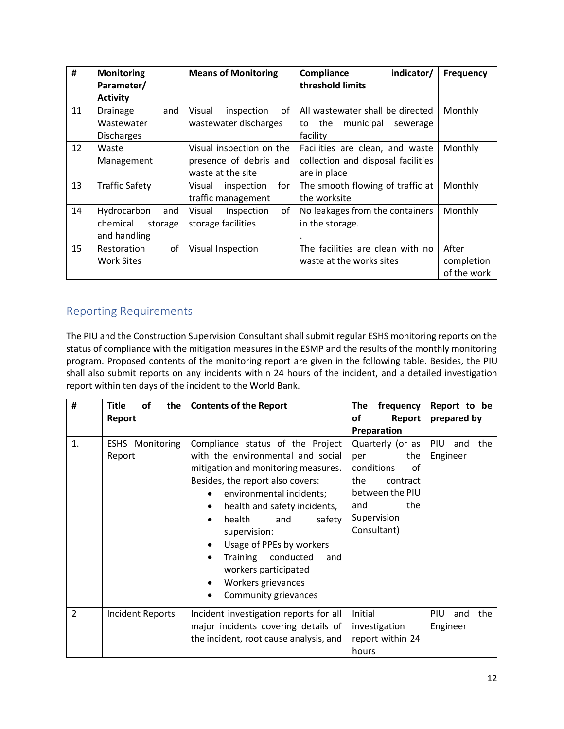| #  | <b>Monitoring</b><br>Parameter/                           | <b>Means of Monitoring</b>                                              | indicator/<br>Compliance<br>threshold limits                                          | <b>Frequency</b>                   |
|----|-----------------------------------------------------------|-------------------------------------------------------------------------|---------------------------------------------------------------------------------------|------------------------------------|
| 11 | <b>Activity</b><br>Drainage<br>and                        | of<br>Visual<br>inspection                                              | All wastewater shall be directed                                                      | Monthly                            |
|    | Wastewater<br><b>Discharges</b>                           | wastewater discharges                                                   | the<br>municipal<br>sewerage<br>to<br>facility                                        |                                    |
| 12 | Waste<br>Management                                       | Visual inspection on the<br>presence of debris and<br>waste at the site | Facilities are clean, and waste<br>collection and disposal facilities<br>are in place | Monthly                            |
| 13 | <b>Traffic Safety</b>                                     | inspection<br>for<br>Visual<br>traffic management                       | The smooth flowing of traffic at<br>the worksite                                      | Monthly                            |
| 14 | Hydrocarbon<br>and<br>chemical<br>storage<br>and handling | of<br>Visual<br>Inspection<br>storage facilities                        | No leakages from the containers<br>in the storage.                                    | Monthly                            |
| 15 | of<br>Restoration<br><b>Work Sites</b>                    | Visual Inspection                                                       | The facilities are clean with no<br>waste at the works sites                          | After<br>completion<br>of the work |

# Reporting Requirements

The PIU and the Construction Supervision Consultant shall submit regular ESHS monitoring reports on the status of compliance with the mitigation measures in the ESMP and the results of the monthly monitoring program. Proposed contents of the monitoring report are given in the following table. Besides, the PIU shall also submit reports on any incidents within 24 hours of the incident, and a detailed investigation report within ten days of the incident to the World Bank.

| #              | <b>Title</b><br>of<br>the        | <b>Contents of the Report</b>                                                                                                                                                                                                                                                                                                                                                                                                 | The<br>frequency                                                                                                                     | Report to be                   |
|----------------|----------------------------------|-------------------------------------------------------------------------------------------------------------------------------------------------------------------------------------------------------------------------------------------------------------------------------------------------------------------------------------------------------------------------------------------------------------------------------|--------------------------------------------------------------------------------------------------------------------------------------|--------------------------------|
|                | Report                           |                                                                                                                                                                                                                                                                                                                                                                                                                               | οf<br>Report                                                                                                                         | prepared by                    |
|                |                                  |                                                                                                                                                                                                                                                                                                                                                                                                                               | Preparation                                                                                                                          |                                |
| 1.             | <b>ESHS</b> Monitoring<br>Report | Compliance status of the Project<br>with the environmental and social<br>mitigation and monitoring measures.<br>Besides, the report also covers:<br>environmental incidents;<br>health and safety incidents,<br>٠<br>health<br>and<br>safety<br>٠<br>supervision:<br>Usage of PPEs by workers<br>$\bullet$<br>Training<br>conducted<br>and<br>$\bullet$<br>workers participated<br>Workers grievances<br>Community grievances | Quarterly (or as<br>the<br>per<br>conditions<br>οf<br>the<br>contract<br>between the PIU<br>the<br>and<br>Supervision<br>Consultant) | PIU<br>the<br>and<br>Engineer  |
| $\overline{2}$ | Incident Reports                 | Incident investigation reports for all<br>major incidents covering details of<br>the incident, root cause analysis, and                                                                                                                                                                                                                                                                                                       | Initial<br>investigation<br>report within 24<br>hours                                                                                | PIU.<br>the<br>and<br>Engineer |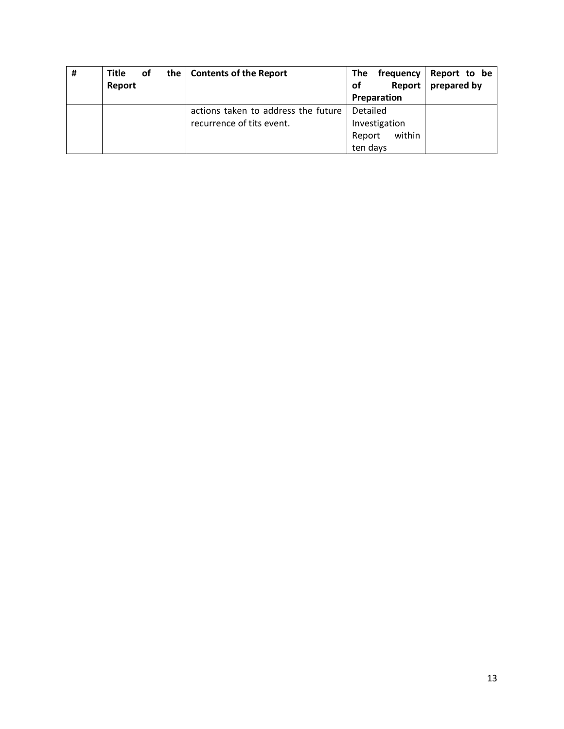| # | <b>Title</b> | оf | the | <b>Contents of the Report</b>       | <b>The</b> | frequency     | Report to be |
|---|--------------|----|-----|-------------------------------------|------------|---------------|--------------|
|   | Report       |    |     |                                     | <b>of</b>  | <b>Report</b> | prepared by  |
|   |              |    |     |                                     |            | Preparation   |              |
|   |              |    |     | actions taken to address the future | Detailed   |               |              |
|   |              |    |     | recurrence of tits event.           |            | Investigation |              |
|   |              |    |     |                                     | Report     | within        |              |
|   |              |    |     |                                     | ten days   |               |              |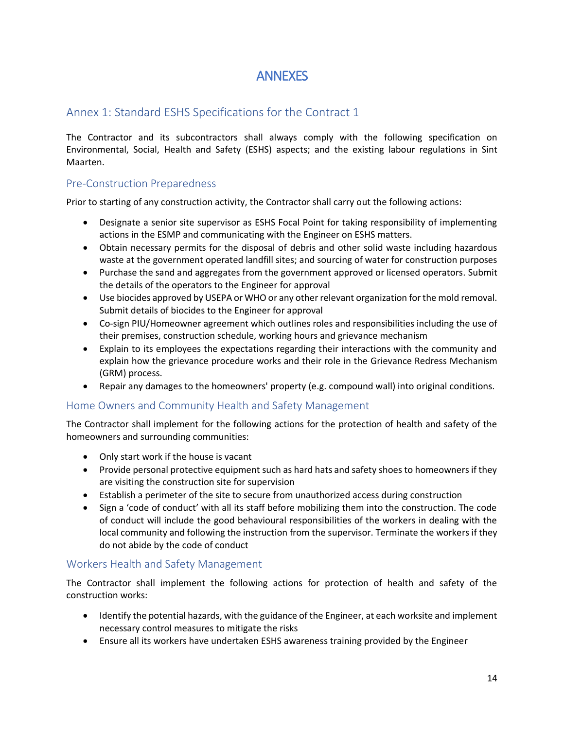# ANNEXES

## Annex 1: Standard ESHS Specifications for the Contract 1

The Contractor and its subcontractors shall always comply with the following specification on Environmental, Social, Health and Safety (ESHS) aspects; and the existing labour regulations in Sint Maarten.

### Pre-Construction Preparedness

Prior to starting of any construction activity, the Contractor shall carry out the following actions:

- Designate a senior site supervisor as ESHS Focal Point for taking responsibility of implementing actions in the ESMP and communicating with the Engineer on ESHS matters.
- Obtain necessary permits for the disposal of debris and other solid waste including hazardous waste at the government operated landfill sites; and sourcing of water for construction purposes
- Purchase the sand and aggregates from the government approved or licensed operators. Submit the details of the operators to the Engineer for approval
- Use biocides approved by USEPA or WHO or any other relevant organization for the mold removal. Submit details of biocides to the Engineer for approval
- Co-sign PIU/Homeowner agreement which outlines roles and responsibilities including the use of their premises, construction schedule, working hours and grievance mechanism
- Explain to its employees the expectations regarding their interactions with the community and explain how the grievance procedure works and their role in the Grievance Redress Mechanism (GRM) process.
- Repair any damages to the homeowners' property (e.g. compound wall) into original conditions.

### Home Owners and Community Health and Safety Management

The Contractor shall implement for the following actions for the protection of health and safety of the homeowners and surrounding communities:

- Only start work if the house is vacant
- Provide personal protective equipment such as hard hats and safety shoes to homeowners if they are visiting the construction site for supervision
- Establish a perimeter of the site to secure from unauthorized access during construction
- Sign a 'code of conduct' with all its staff before mobilizing them into the construction. The code of conduct will include the good behavioural responsibilities of the workers in dealing with the local community and following the instruction from the supervisor. Terminate the workers if they do not abide by the code of conduct

### Workers Health and Safety Management

The Contractor shall implement the following actions for protection of health and safety of the construction works:

- Identify the potential hazards, with the guidance of the Engineer, at each worksite and implement necessary control measures to mitigate the risks
- Ensure all its workers have undertaken ESHS awareness training provided by the Engineer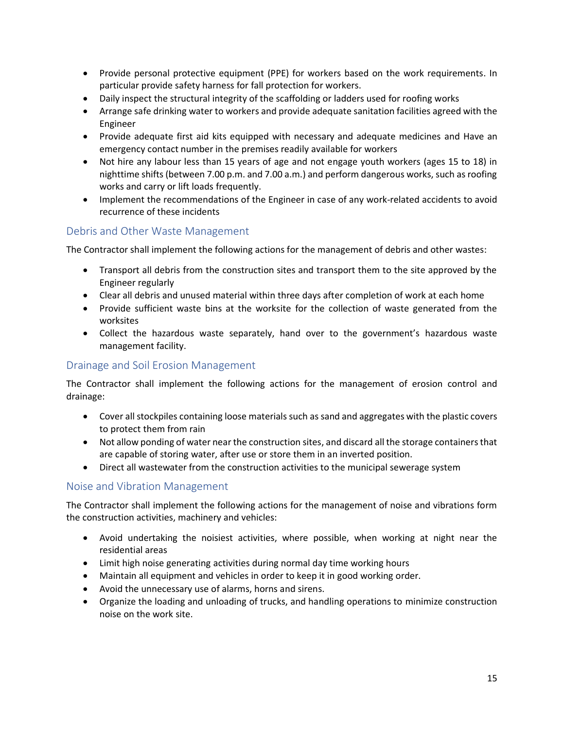- Provide personal protective equipment (PPE) for workers based on the work requirements. In particular provide safety harness for fall protection for workers.
- Daily inspect the structural integrity of the scaffolding or ladders used for roofing works
- Arrange safe drinking water to workers and provide adequate sanitation facilities agreed with the Engineer
- Provide adequate first aid kits equipped with necessary and adequate medicines and Have an emergency contact number in the premises readily available for workers
- Not hire any labour less than 15 years of age and not engage youth workers (ages 15 to 18) in nighttime shifts (between 7.00 p.m. and 7.00 a.m.) and perform dangerous works, such as roofing works and carry or lift loads frequently.
- Implement the recommendations of the Engineer in case of any work-related accidents to avoid recurrence of these incidents

### Debris and Other Waste Management

The Contractor shall implement the following actions for the management of debris and other wastes:

- Transport all debris from the construction sites and transport them to the site approved by the Engineer regularly
- Clear all debris and unused material within three days after completion of work at each home
- Provide sufficient waste bins at the worksite for the collection of waste generated from the worksites
- Collect the hazardous waste separately, hand over to the government's hazardous waste management facility.

### Drainage and Soil Erosion Management

The Contractor shall implement the following actions for the management of erosion control and drainage:

- Cover all stockpiles containing loose materials such as sand and aggregates with the plastic covers to protect them from rain
- Not allow ponding of water near the construction sites, and discard all the storage containers that are capable of storing water, after use or store them in an inverted position.
- Direct all wastewater from the construction activities to the municipal sewerage system

#### Noise and Vibration Management

The Contractor shall implement the following actions for the management of noise and vibrations form the construction activities, machinery and vehicles:

- Avoid undertaking the noisiest activities, where possible, when working at night near the residential areas
- Limit high noise generating activities during normal day time working hours
- Maintain all equipment and vehicles in order to keep it in good working order.
- Avoid the unnecessary use of alarms, horns and sirens.
- Organize the loading and unloading of trucks, and handling operations to minimize construction noise on the work site.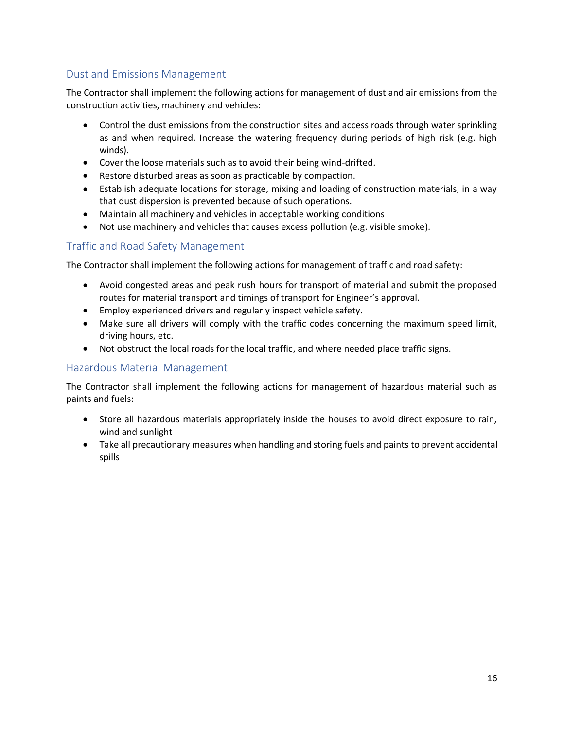## Dust and Emissions Management

The Contractor shall implement the following actions for management of dust and air emissions from the construction activities, machinery and vehicles:

- Control the dust emissions from the construction sites and access roads through water sprinkling as and when required. Increase the watering frequency during periods of high risk (e.g. high winds).
- Cover the loose materials such as to avoid their being wind-drifted.
- Restore disturbed areas as soon as practicable by compaction.
- Establish adequate locations for storage, mixing and loading of construction materials, in a way that dust dispersion is prevented because of such operations.
- Maintain all machinery and vehicles in acceptable working conditions
- Not use machinery and vehicles that causes excess pollution (e.g. visible smoke).

### Traffic and Road Safety Management

The Contractor shall implement the following actions for management of traffic and road safety:

- Avoid congested areas and peak rush hours for transport of material and submit the proposed routes for material transport and timings of transport for Engineer's approval.
- Employ experienced drivers and regularly inspect vehicle safety.
- Make sure all drivers will comply with the traffic codes concerning the maximum speed limit, driving hours, etc.
- Not obstruct the local roads for the local traffic, and where needed place traffic signs.

#### Hazardous Material Management

The Contractor shall implement the following actions for management of hazardous material such as paints and fuels:

- Store all hazardous materials appropriately inside the houses to avoid direct exposure to rain, wind and sunlight
- Take all precautionary measures when handling and storing fuels and paints to prevent accidental spills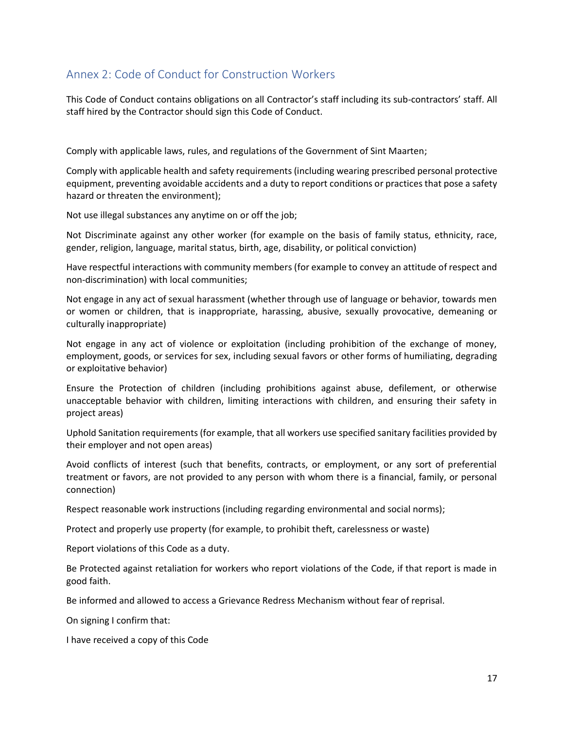## Annex 2: Code of Conduct for Construction Workers

This Code of Conduct contains obligations on all Contractor's staff including its sub-contractors' staff. All staff hired by the Contractor should sign this Code of Conduct.

Comply with applicable laws, rules, and regulations of the Government of Sint Maarten;

Comply with applicable health and safety requirements (including wearing prescribed personal protective equipment, preventing avoidable accidents and a duty to report conditions or practices that pose a safety hazard or threaten the environment);

Not use illegal substances any anytime on or off the job;

Not Discriminate against any other worker (for example on the basis of family status, ethnicity, race, gender, religion, language, marital status, birth, age, disability, or political conviction)

Have respectful interactions with community members (for example to convey an attitude of respect and non-discrimination) with local communities;

Not engage in any act of sexual harassment (whether through use of language or behavior, towards men or women or children, that is inappropriate, harassing, abusive, sexually provocative, demeaning or culturally inappropriate)

Not engage in any act of violence or exploitation (including prohibition of the exchange of money, employment, goods, or services for sex, including sexual favors or other forms of humiliating, degrading or exploitative behavior)

Ensure the Protection of children (including prohibitions against abuse, defilement, or otherwise unacceptable behavior with children, limiting interactions with children, and ensuring their safety in project areas)

Uphold Sanitation requirements (for example, that all workers use specified sanitary facilities provided by their employer and not open areas)

Avoid conflicts of interest (such that benefits, contracts, or employment, or any sort of preferential treatment or favors, are not provided to any person with whom there is a financial, family, or personal connection)

Respect reasonable work instructions (including regarding environmental and social norms);

Protect and properly use property (for example, to prohibit theft, carelessness or waste)

Report violations of this Code as a duty.

Be Protected against retaliation for workers who report violations of the Code, if that report is made in good faith.

Be informed and allowed to access a Grievance Redress Mechanism without fear of reprisal.

On signing I confirm that:

I have received a copy of this Code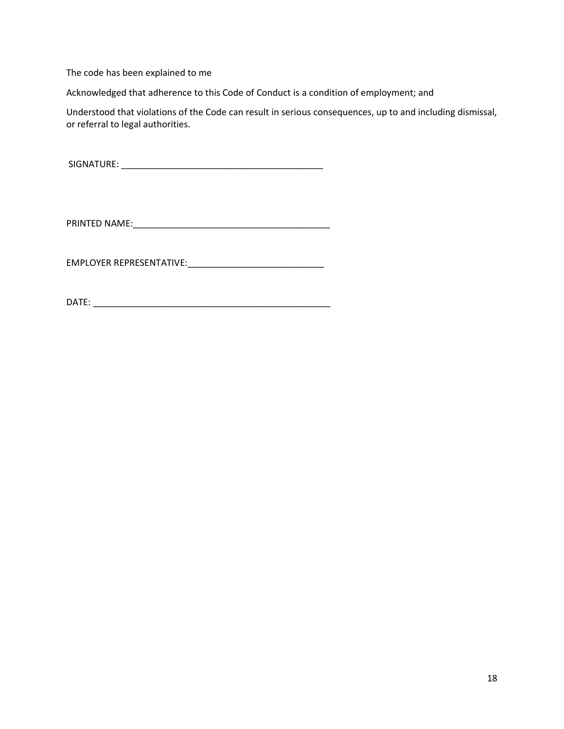The code has been explained to me

Acknowledged that adherence to this Code of Conduct is a condition of employment; and

Understood that violations of the Code can result in serious consequences, up to and including dismissal, or referral to legal authorities.

SIGNATURE: \_\_\_\_\_\_\_\_\_\_\_\_\_\_\_\_\_\_\_\_\_\_\_\_\_\_\_\_\_\_\_\_\_\_\_\_\_\_\_\_

PRINTED NAME:\_\_\_\_\_\_\_\_\_\_\_\_\_\_\_\_\_\_\_\_\_\_\_\_\_\_\_\_\_\_\_\_\_\_\_\_\_\_\_

EMPLOYER REPRESENTATIVE:\_\_\_\_\_\_\_\_\_\_\_\_\_\_\_\_\_\_\_\_\_\_\_\_\_\_\_

DATE: \_\_\_\_\_\_\_\_\_\_\_\_\_\_\_\_\_\_\_\_\_\_\_\_\_\_\_\_\_\_\_\_\_\_\_\_\_\_\_\_\_\_\_\_\_\_\_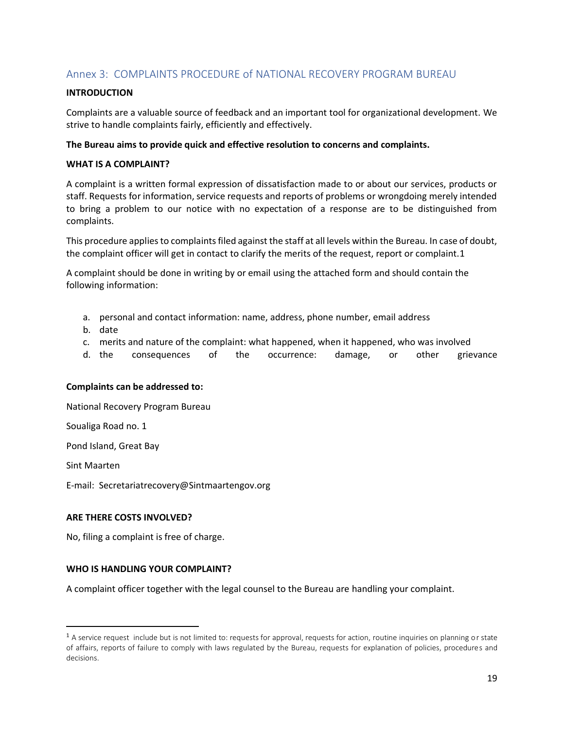### Annex 3: COMPLAINTS PROCEDURE of NATIONAL RECOVERY PROGRAM BUREAU

#### **INTRODUCTION**

Complaints are a valuable source of feedback and an important tool for organizational development. We strive to handle complaints fairly, efficiently and effectively.

#### **The Bureau aims to provide quick and effective resolution to concerns and complaints.**

#### **WHAT IS A COMPLAINT?**

A complaint is a written formal expression of dissatisfaction made to or about our services, products or staff. Requests for information, service requests and reports of problems or wrongdoing merely intended to bring a problem to our notice with no expectation of a response are to be distinguished from complaints.

This procedure applies to complaints filed against the staff at all levels within the Bureau. In case of doubt, the complaint officer will get in contact to clarify the merits of the request, report or complaint.1

A complaint should be done in writing by or email using the attached form and should contain the following information:

- a. personal and contact information: name, address, phone number, email address
- b. date
- c. merits and nature of the complaint: what happened, when it happened, who was involved
- d. the consequences of the occurrence: damage, or other grievance

#### **Complaints can be addressed to:**

National Recovery Program Bureau

Soualiga Road no. 1

Pond Island, Great Bay

Sint Maarten

 $\overline{a}$ 

E-mail: Secretariatrecovery@Sintmaartengov.org

#### **ARE THERE COSTS INVOLVED?**

No, filing a complaint is free of charge.

#### **WHO IS HANDLING YOUR COMPLAINT?**

A complaint officer together with the legal counsel to the Bureau are handling your complaint.

 $1$  A service request include but is not limited to: requests for approval, requests for action, routine inquiries on planning or state of affairs, reports of failure to comply with laws regulated by the Bureau, requests for explanation of policies, procedures and decisions.